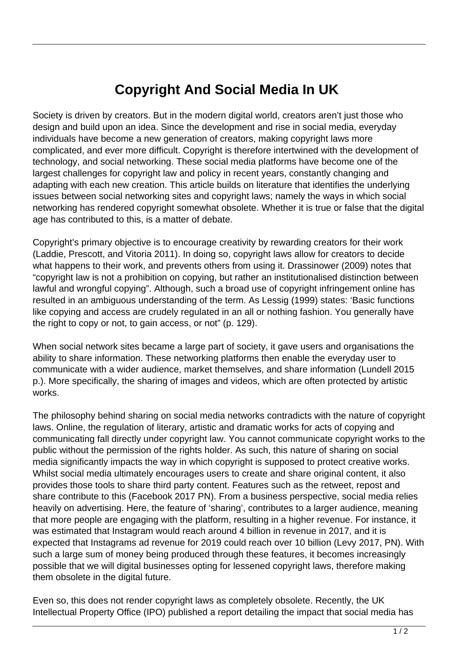## **Copyright And Social Media In UK**

Society is driven by creators. But in the modern digital world, creators aren't just those who design and build upon an idea. Since the development and rise in social media, everyday individuals have become a new generation of creators, making copyright laws more complicated, and ever more difficult. Copyright is therefore intertwined with the development of technology, and social networking. These social media platforms have become one of the largest challenges for copyright law and policy in recent years, constantly changing and adapting with each new creation. This article builds on literature that identifies the underlying issues between social networking sites and copyright laws; namely the ways in which social networking has rendered copyright somewhat obsolete. Whether it is true or false that the digital age has contributed to this, is a matter of debate.

Copyright's primary objective is to encourage creativity by rewarding creators for their work (Laddie, Prescott, and Vitoria 2011). In doing so, copyright laws allow for creators to decide what happens to their work, and prevents others from using it. Drassinower (2009) notes that "copyright law is not a prohibition on copying, but rather an institutionalised distinction between lawful and wrongful copying". Although, such a broad use of copyright infringement online has resulted in an ambiguous understanding of the term. As Lessig (1999) states: 'Basic functions like copying and access are crudely regulated in an all or nothing fashion. You generally have the right to copy or not, to gain access, or not" (p. 129).

When social network sites became a large part of society, it gave users and organisations the ability to share information. These networking platforms then enable the everyday user to communicate with a wider audience, market themselves, and share information (Lundell 2015 p.). More specifically, the sharing of images and videos, which are often protected by artistic works.

The philosophy behind sharing on social media networks contradicts with the nature of copyright laws. Online, the regulation of literary, artistic and dramatic works for acts of copying and communicating fall directly under copyright law. You cannot communicate copyright works to the public without the permission of the rights holder. As such, this nature of sharing on social media significantly impacts the way in which copyright is supposed to protect creative works. Whilst social media ultimately encourages users to create and share original content, it also provides those tools to share third party content. Features such as the retweet, repost and share contribute to this (Facebook 2017 PN). From a business perspective, social media relies heavily on advertising. Here, the feature of 'sharing', contributes to a larger audience, meaning that more people are engaging with the platform, resulting in a higher revenue. For instance, it was estimated that Instagram would reach around 4 billion in revenue in 2017, and it is expected that Instagrams ad revenue for 2019 could reach over 10 billion (Levy 2017, PN). With such a large sum of money being produced through these features, it becomes increasingly possible that we will digital businesses opting for lessened copyright laws, therefore making them obsolete in the digital future.

Even so, this does not render copyright laws as completely obsolete. Recently, the UK Intellectual Property Office (IPO) published a report detailing the impact that social media has